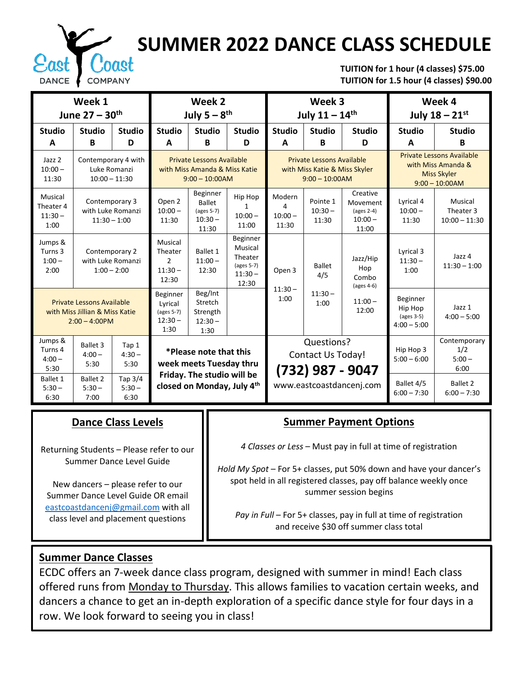

# **SUMMER 2022 DANCE CLASS SCHEDULE**

 **TUITION for 1 hour (4 classes) \$75.00 TUITION for 1.5 hour (4 classes) \$90.00**

| Week 1<br>June $27 - 30$ <sup>th</sup>                                                 |                                                        |                             | Week 2<br>July $5-8$ <sup>th</sup>                                                    |                                                               |                                                                           | Week 3<br>July $11 - 14$ <sup>th</sup>                                                |                                |                                                                 | Week 4<br>July $18 - 21^{st}$                                                                     |                                         |  |
|----------------------------------------------------------------------------------------|--------------------------------------------------------|-----------------------------|---------------------------------------------------------------------------------------|---------------------------------------------------------------|---------------------------------------------------------------------------|---------------------------------------------------------------------------------------|--------------------------------|-----------------------------------------------------------------|---------------------------------------------------------------------------------------------------|-----------------------------------------|--|
| <b>Studio</b><br>A                                                                     | <b>Studio</b><br>B                                     | <b>Studio</b><br>D          | <b>Studio</b><br>A                                                                    | <b>Studio</b><br>B                                            | <b>Studio</b><br>D                                                        | <b>Studio</b><br>A                                                                    | <b>Studio</b><br>B             | <b>Studio</b><br>D                                              | <b>Studio</b><br>A                                                                                | <b>Studio</b><br>B                      |  |
| Jazz <sub>2</sub><br>$10:00 -$<br>11:30                                                | Contemporary 4 with<br>Luke Romanzi<br>$10:00 - 11:30$ |                             | <b>Private Lessons Available</b><br>with Miss Amanda & Miss Katie<br>$9:00 - 10:00AM$ |                                                               |                                                                           | <b>Private Lessons Available</b><br>with Miss Katie & Miss Skyler<br>$9:00 - 10:00AM$ |                                |                                                                 | <b>Private Lessons Available</b><br>with Miss Amanda &<br><b>Miss Skyler</b><br>$9:00 - 10:00$ AM |                                         |  |
| Musical<br>Theater 4<br>$11:30 -$<br>1:00                                              | Contemporary 3<br>with Luke Romanzi<br>$11:30 - 1:00$  |                             | Open 2<br>$10:00 -$<br>11:30                                                          | Beginner<br><b>Ballet</b><br>(ages 5-7)<br>$10:30 -$<br>11:30 | Hip Hop<br>1<br>$10:00 -$<br>11:00                                        | Modern<br>4<br>$10:00 -$<br>11:30                                                     | Pointe 1<br>$10:30 -$<br>11:30 | Creative<br>Movement<br>$\frac{2-4}{3}$<br>$10:00 -$<br>11:00   | Lyrical 4<br>$10:00 -$<br>11:30                                                                   | Musical<br>Theater 3<br>$10:00 - 11:30$ |  |
| Jumps &<br>Turns 3<br>$1:00 -$<br>2:00                                                 | Contemporary 2<br>with Luke Romanzi<br>$1:00 - 2:00$   |                             | Musical<br>Theater<br>$\overline{2}$<br>$11:30 -$<br>12:30                            | Ballet 1<br>$11:00 -$<br>12:30                                | <b>Beginner</b><br>Musical<br>Theater<br>(ages 5-7)<br>$11:30 -$<br>12:30 | Open 3                                                                                | <b>Ballet</b><br>4/5           | Jazz/Hip<br>Hop<br>Combo<br>$\left( \text{ages } 4 - 6 \right)$ | Lyrical 3<br>$11:30 -$<br>1:00                                                                    | Jazz 4<br>$11:30 - 1:00$                |  |
| <b>Private Lessons Available</b><br>with Miss Jillian & Miss Katie<br>$2:00 - 4:00$ PM |                                                        |                             | Beginner<br>Lyrical<br>(ages 5-7)<br>$12:30 -$<br>1:30                                | Beg/Int<br>Stretch<br>Strength<br>$12:30 -$<br>1:30           |                                                                           | $11:30 -$<br>1:00                                                                     | $11:30 -$<br>1:00              | $11:00 -$<br>12:00                                              | Beginner<br>Hip Hop<br>(ages 3-5)<br>$4:00 - 5:00$                                                | Jazz 1<br>$4:00 - 5:00$                 |  |
| Jumps &<br>Turns 4<br>$4:00 -$<br>5:30                                                 | <b>Ballet 3</b><br>$4:00 -$<br>5:30                    | Tap 1<br>$4:30-$<br>5:30    | *Please note that this<br>week meets Tuesday thru                                     |                                                               |                                                                           | Questions?<br><b>Contact Us Today!</b><br>(732) 987 - 9047                            |                                |                                                                 | Hip Hop 3<br>$5:00 - 6:00$                                                                        | Contemporary<br>1/2<br>$5:00 -$<br>6:00 |  |
| <b>Ballet 1</b><br>$5:30 -$<br>6:30                                                    | <b>Ballet 2</b><br>$5:30 -$<br>7:00                    | Tap 3/4<br>$5:30 -$<br>6:30 |                                                                                       | Friday. The studio will be<br>closed on Monday, July 4th      |                                                                           | www.eastcoastdancenj.com                                                              |                                |                                                                 | Ballet 4/5<br>$6:00 - 7:30$                                                                       | <b>Ballet 2</b><br>$6:00 - 7:30$        |  |

#### **Dance Class Levels**

Returning Students – Please refer to our Summer Dance Level Guide

New dancers – please refer to our Summer Dance Level Guide OR email [eastcoastdancenj@gmail.com](mailto:eastcoastdancenj@gmail.com) with all class level and placement questions

## **Summer Payment Options**

*4 Classes or Less* – Must pay in full at time of registration

*Hold My Spot* – For 5+ classes, put 50% down and have your dancer's spot held in all registered classes, pay off balance weekly once summer session begins

Pay in Full – For 5+ classes, pay in full at time of registration and receive \$30 off summer class total

## **Summer Dance Classes**

ECDC offers an 7-week dance class program, designed with summer in mind! Each class offered runs from Monday to Thursday. This allows families to vacation certain weeks, and dancers a chance to get an in-depth exploration of a specific dance style for four days in a row. We look forward to seeing you in class!